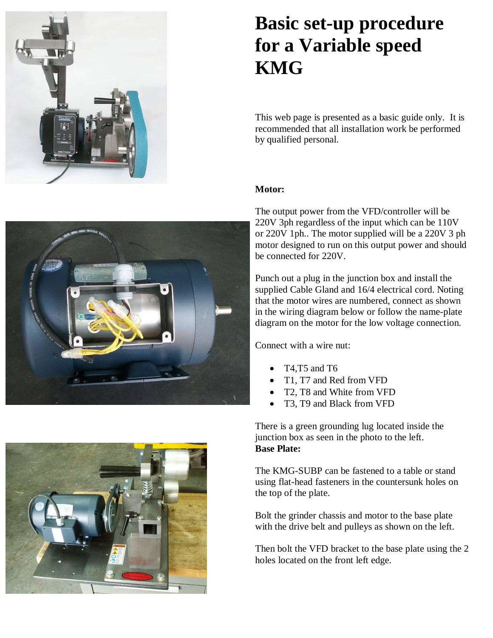

# **Basic set-up procedure for a Variable speed KMG**

This web page is presented as a basic guide only. It is recommended that all installation work be performed by qualified personal.

### **Motor:**

The output power from the VFD/controller will be 220V 3ph regardless of the input which can be 110V or 220V 1ph.. The motor supplied will be a 220V 3 ph motor designed to run on this output power and should be connected for 220V.

Punch out a plug in the junction box and install the supplied Cable Gland and 16/4 electrical cord. Noting that the motor wires are numbered, connect as shown in the wiring diagram below or follow the name-plate diagram on the motor for the low voltage connection.

Connect with a wire nut:

- T4,T5 and T6
- T1, T7 and Red from VFD
- T2, T8 and White from VFD
- T3, T9 and Black from VFD

There is a green grounding lug located inside the junction box as seen in the photo to the left. **Base Plate:**

The KMG-SUBP can be fastened to a table or stand using flat-head fasteners in the countersunk holes on the top of the plate.

Bolt the grinder chassis and motor to the base plate with the drive belt and pulleys as shown on the left.

Then bolt the VFD bracket to the base plate using the 2 holes located on the front left edge.



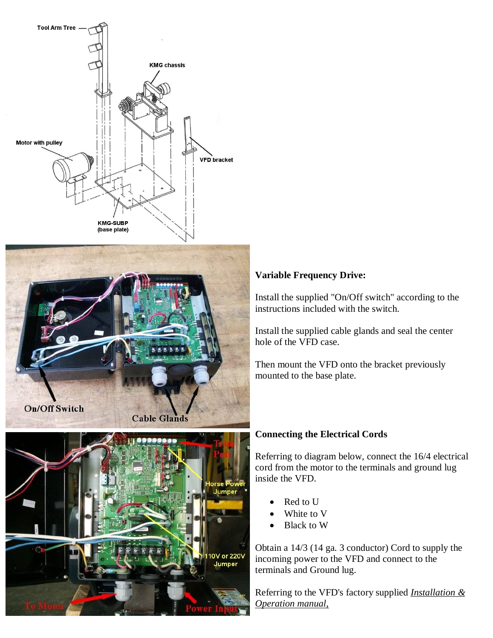

## **Variable Frequency Drive:**

Install the supplied "On/Off switch" according to the instructions included with the switch.

Install the supplied cable glands and seal the center hole of the VFD case.

Then mount the VFD onto the bracket previously mounted to the base plate.

#### **Connecting the Electrical Cords**

Referring to diagram below, connect the 16/4 electrical cord from the motor to the terminals and ground lug inside the VFD.

- Red to U
- White to V
- Black to W

Obtain a 14/3 (14 ga. 3 conductor) Cord to supply the incoming power to the VFD and connect to the terminals and Ground lug.

Referring to the VFD's factory supplied *Installation & Operation manual,*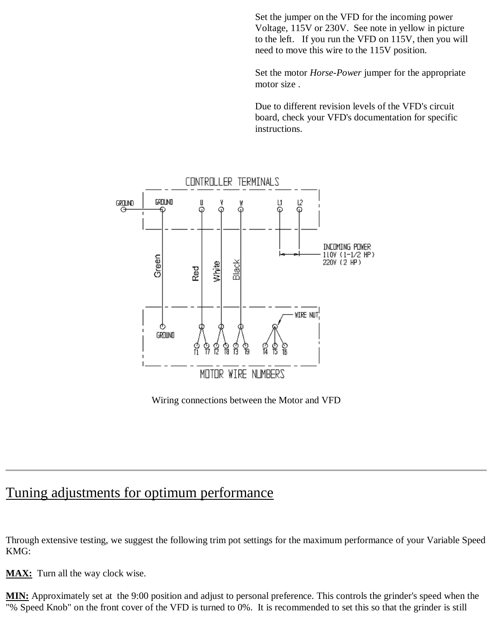Set the jumper on the VFD for the incoming power Voltage, 115V or 230V. See note in yellow in picture to the left. If you run the VFD on 115V, then you will need to move this wire to the 115V position.

Set the motor *Horse-Power* jumper for the appropriate motor size .

Due to different revision levels of the VFD's circuit board, check your VFD's documentation for specific instructions.



Wiring connections between the Motor and VFD

# Tuning adjustments for optimum performance

Through extensive testing, we suggest the following trim pot settings for the maximum performance of your Variable Speed KMG:

**MAX:** Turn all the way clock wise.

**MIN:** Approximately set at the 9:00 position and adjust to personal preference. This controls the grinder's speed when the "% Speed Knob" on the front cover of the VFD is turned to 0%. It is recommended to set this so that the grinder is still